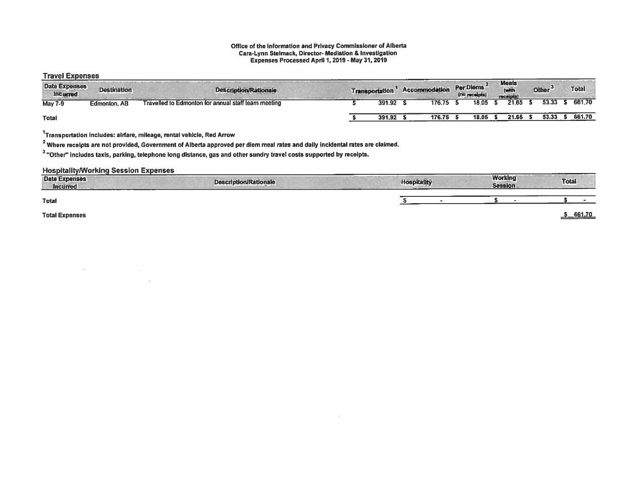#### Office of the Information and Privacy Commissioner of Alberta Cara-Lynn Slelmack, Director- Mediation & Investigation Expenses Processed April 1,2019 -May 31, 2019

### Travel Expenses

| .<br><b>Date Expenses</b><br>Incurred | <b>Destination</b>  | <b>Description/Rationale</b>                        | <b>Transportation</b> | Accommodation | Per Diems<br>(no receipts) | <b>Meals</b><br>(with<br>receipts! | Other <sup>3</sup> | <b>Total</b> |  |
|---------------------------------------|---------------------|-----------------------------------------------------|-----------------------|---------------|----------------------------|------------------------------------|--------------------|--------------|--|
| <b>May 7-9</b>                        | <b>Edmonton, AB</b> | Travelled to Edmonton for annual staff team meeting | 391.92                | 176.75        | 18.05                      | 21.65                              | 53.33              | 661.70       |  |
| <b>Total</b>                          |                     |                                                     | 391.92                | 176.75        | 18.05                      | 21.65                              | 53.33              | 661.70       |  |

 $1$ Transportation includes: airfare, mileage, rental vehicle, Red Arrow

 $2$  Where receipts are not provided, Government of Alberta approved per diem meal rates and daily incidental rates are claimed.

 $3$  "Other" includes taxis, parking, telephone long distance, gas and other sundry travel costs supported by receipts.

### HospitalitylWorking Session Expenses

| <b>Date Expenses</b><br>Incurred | _______<br><b>Description/Rationale</b> | <b>Hospitality</b> | <b>Working</b><br><b>Session</b> | <b>Total</b>  |
|----------------------------------|-----------------------------------------|--------------------|----------------------------------|---------------|
| <b>Total</b>                     |                                         |                    |                                  |               |
| <b>Total Expenses</b>            |                                         |                    |                                  | $-9 - 661.70$ |

 $\sim$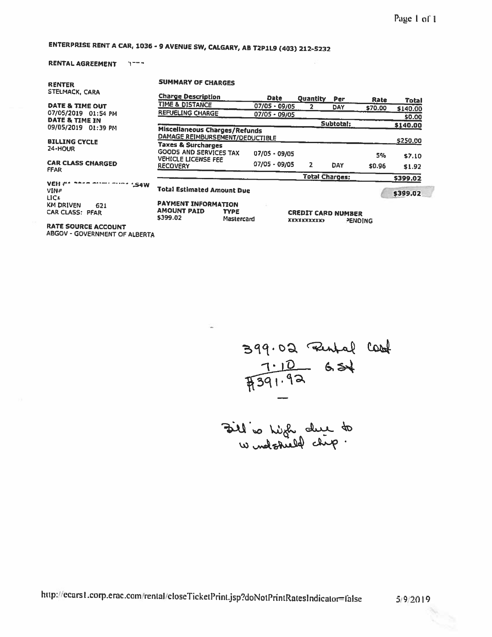# ENTERPRISE RENT <sup>A</sup> CAR, 1036-9 AVENUE SW, CALGARY, AS T2P1L9 (403) 212-5232

### RENTAL AGREEMENT 1---

| <b>RENTER</b>                                     | <b>SUMMARY OF CHARGES</b>                                               |                           |                 |                                                 |           |                |              |
|---------------------------------------------------|-------------------------------------------------------------------------|---------------------------|-----------------|-------------------------------------------------|-----------|----------------|--------------|
| STELMACK, CARA                                    | <b>Charge Description</b>                                               |                           | <b>Date</b>     | Quantity                                        | Per       | Rate           | <b>Total</b> |
| DATE & TIME OUT                                   | TIME & DISTANCE                                                         |                           | $07/05 - 09/05$ | 2                                               | DAY       | \$70.00        | \$140.00     |
| 07/05/2019 01:54 PM                               | <b>REFUELING CHARGE</b>                                                 |                           | $07/05 - 09/05$ |                                                 |           |                | \$0.00       |
| DATE & TIME IN<br>09/05/2019 01:39 PM             |                                                                         |                           |                 |                                                 | Subtotal: |                | \$140.00     |
|                                                   | <b>Miscellaneous Charges/Refunds</b><br>DAMAGE REIMBURSEMENT/DEDUCTIBLE |                           |                 |                                                 |           |                | \$250.00     |
| <b>BILLING CYCLE</b><br>24-HOUR                   | <b>Taxes &amp; Surcharges</b><br><b>GOODS AND SERVICES TAX</b>          |                           | $07/05 - 09/05$ |                                                 |           | 5%             | \$7.10       |
| <b>CAR CLASS CHARGED</b><br><b>FFAR</b>           | <b>VEHICLE LICENSE FEE</b><br><b>RECOVERY</b>                           |                           | 07/05 - 09/05   | 2                                               | DAY       | \$0.96         | \$1.92       |
|                                                   |                                                                         |                           |                 | <b>Total Charges:</b>                           |           |                | \$399.02     |
| VEH #<br>'.S4W<br>VIN#<br>LIC <sub>2</sub>        | <b>Total Estimated Amount Due</b>                                       |                           |                 |                                                 |           |                | \$399.02     |
| <b>KM DRIVEN</b><br>621<br><b>CAR CLASS: PFAR</b> | <b>PAYMENT INFORMATION</b><br><b>AMOUNT PAID</b><br>\$399.02            | <b>TYPE</b><br>Mastercard |                 | <b>CREDIT CARD NUMBER</b><br><b>XXXXXXXXXXX</b> |           | <b>PENDING</b> |              |
| <b>RATE SOURCE ACCOUNT</b>                        |                                                                         |                           |                 |                                                 |           |                |              |

ABGOV - GOVERNMENT OF ALBERTA

59 7.10

the which due to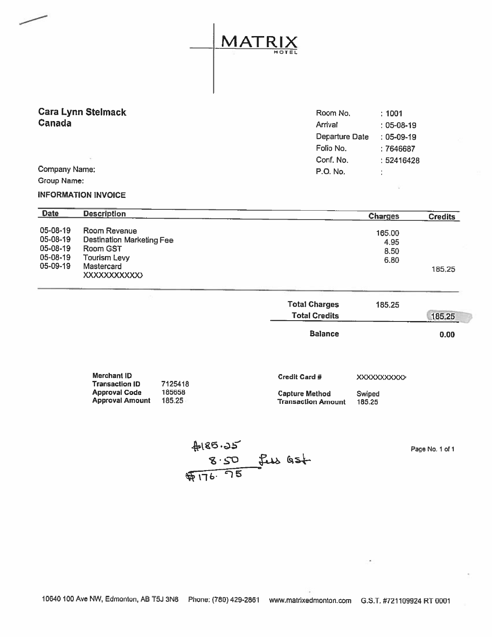MATRIX HOTEL

**Cara Lynn Stelmack** 

| Cara Lynn Stelmack | Room No.       | : 1001       |
|--------------------|----------------|--------------|
| Canada             | Arrival        | $: 05-08-19$ |
|                    | Departure Date | $: 05-09-19$ |
|                    | Folio No.      | :7646687     |
|                    | Conf. No.      | :52416428    |
| Company Name:      | P.O. No.       | ٠            |
|                    |                |              |

Group Name:

### INFORMATION INVOICE

| <b>Date</b>                                  | <b>Description</b>                                                    | <b>Charges</b>                 | <b>Credits</b> |
|----------------------------------------------|-----------------------------------------------------------------------|--------------------------------|----------------|
| 05-08-19<br>05-08-19<br>05-08-19<br>05-08-19 | Room Revenue<br>Destination Marketing Fee<br>Room GST<br>Tourism Levy | 165.00<br>4.95<br>8.50<br>6.80 |                |
| 05-09-19                                     | <b>Mastercard</b><br><b>XXXXXXXXXXXX</b>                              |                                | 185.25         |

| <b>Total Charges</b><br><b>Total Credits</b> | 185.25 | 185,25 |
|----------------------------------------------|--------|--------|
| <b>Balance</b>                               |        | 0.00   |

| Merchant ID     |         | <b>Credit Card #</b>      | <b>XXXXXXXXXXX</b> |
|-----------------|---------|---------------------------|--------------------|
| Transaction ID  | 7125418 |                           |                    |
| Approval Code   | 185658  | <b>Capture Method</b>     | Swined             |
| Approval Amount | 185.25  | <b>Transaction Amount</b> | 185.25             |
|                 |         |                           |                    |

 $#185.35$ <br>8.50 few Gst

Page No.1 of 1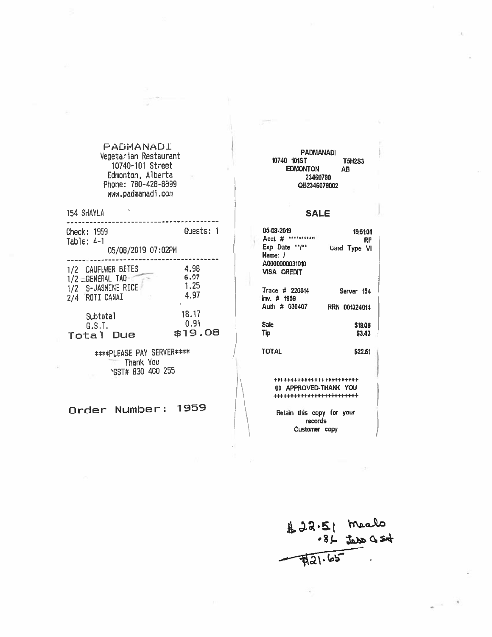# PADMANADI Vegetarian Restaurant PAD1ANADI PEDITANANADI PAD1ANADI PAD1ANADI PAD1ANADI PAD1ANADI PAD1ANADI PAD1ANADI PAD1<br>10740-101 Street EDMONTON AB Edmonton, Alberta <sup>23460790</sup> Phone: 780—428-6399 082346079002 www.padmanadi.com

154 SHAYLA SALE

| Check: 1959<br>Table: $4-1$<br>05/08/2019 07:02PM                                         | Guests: 1                          | 05-08-2019<br><b><i><u><i>AA**********</i></u></i></b><br>Acct $#$<br>Exp. Date 11/th<br>Name: / | 19:51:01<br>RF<br>Card Type VI     |
|-------------------------------------------------------------------------------------------|------------------------------------|--------------------------------------------------------------------------------------------------|------------------------------------|
| 1/2 CAUFLWER BITES<br>1/2 = GENERAL TAO<br>1/2 S-JASMINE RICE<br><b>ROTI CANAI</b><br>2/4 | 4.98<br>6.97<br>1.25<br>4.97<br>۰. | A0000000031010<br><b>VISA CREDIT</b><br>Trace # 220014<br>$lnv.$ # 1959                          | Server 154                         |
| Subtotal<br>G.S.T.<br>Total<br>Due                                                        | 18,17<br>0.91<br>\$19.08           | Auth # 030407<br><b>Sale</b><br>Tip                                                              | RRN 001324014<br>\$19.08<br>\$3.43 |

\*\*\*\*PLEASE PAY SERVER\*\*\*\* / TOTAL \$2251 Thank You<br>\GST# 830 400 255

| 05-08-2019<br>Acct # | 195101<br>RF  |
|----------------------|---------------|
| Exp Date 17/11       | Card Type VI  |
| Name: /              |               |
| A0000000031010       |               |
| VISA CREDIT          |               |
| Trace # 220014       | Server 154    |
| inv. # 1959          |               |
| Auth # 030407        | RRN 001324014 |
| Sale                 | \$19.08       |
| Tip                  | \$3.43        |
|                      |               |

+++++++++++4-+ F+++++++++++ GST# 830 400 255<br>
(GST# 830 400 255<br>
(COLORED-THANK YOU<br>
(COLORED-THANK YOU<br>
(COLORED-THANK YOU)

Order Number: 1959<br>
Petain this copy for your<br>
Customer copy

片 つぶ・2 •Bj os4 $721.65$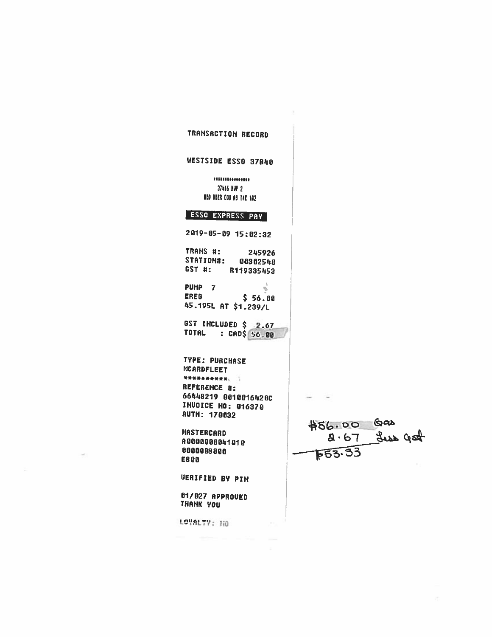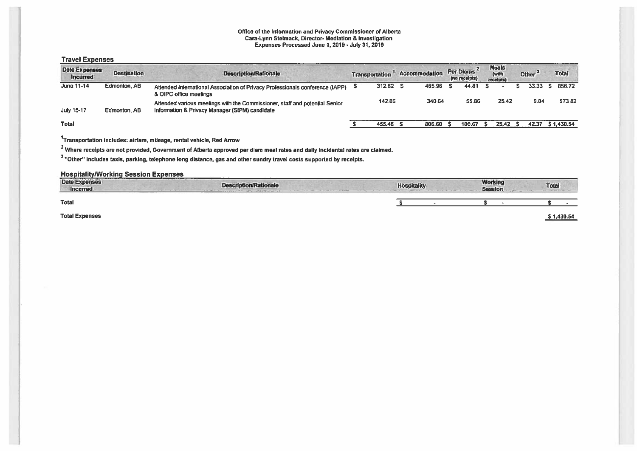#### Office of the Information and Privacy Commissioner of Alberta Cara-lynn Stelmack, Director- Mediation & Investigation Expenses Processed June 1,2019-July 31,2019

### Travel Expenses

| Date Expenses<br><i><b>Incurred</b></i> | <b>Destination</b> | <b>Description/Rationale</b>                                                                                                  | <b>Transportation</b> | Accommodation |        |  |        |       |  |       |            |  |  |  |  |  |  |  |  |  |  |  |  |  |  |  |  | Per Diems<br>(no receipts) |  | <b>Meals</b><br>(with<br><b>receipts)</b> | Other $3$ |  | <b>Total</b> |
|-----------------------------------------|--------------------|-------------------------------------------------------------------------------------------------------------------------------|-----------------------|---------------|--------|--|--------|-------|--|-------|------------|--|--|--|--|--|--|--|--|--|--|--|--|--|--|--|--|----------------------------|--|-------------------------------------------|-----------|--|--------------|
| June 11-14                              | Edmonton, AB       | Attended International Association of Privacy Professionals conference (IAPP)<br>& OIPC office meetings                       | 312.62 S              |               | 465.96 |  | 44.81  |       |  | 33.33 | 856.72     |  |  |  |  |  |  |  |  |  |  |  |  |  |  |  |  |                            |  |                                           |           |  |              |
| July 15-17                              | Edmonton, AB       | Attended various meetings with the Commissioner, staff and potential Senior<br>Information & Privacy Manager (SIPM) candidate | 142.86                |               | 340.64 |  | 55.86  | 25.42 |  | 9.04  | 573.82     |  |  |  |  |  |  |  |  |  |  |  |  |  |  |  |  |                            |  |                                           |           |  |              |
| <b>Total</b>                            |                    |                                                                                                                               | 455.48                |               | 806.60 |  | 100.67 | 25.42 |  | 42.37 | \$1,430.54 |  |  |  |  |  |  |  |  |  |  |  |  |  |  |  |  |                            |  |                                           |           |  |              |

## 1Transportation includes: airfare, mileage, rental vehicle, Red Arrow

<sup>2</sup> Where receipts are not provided, Government of Alberta approved per diem meal rates and daily incidental rates are claimed.

 $3$  "Other" includes taxis, parking, telephone long distance, gas and other sundry travel costs supported by receipts.

### HospitalitylWorking Session Expenses

| <b>Date Expenses</b><br><b>Incurred</b> | <b>START CONTRACTOR</b><br><b>Description/Rationale</b><br><b>STATISTICS</b><br>--------- | <b>Hospitality</b> | Working<br><b>Session</b> | Total              |
|-----------------------------------------|-------------------------------------------------------------------------------------------|--------------------|---------------------------|--------------------|
| <b>Total</b>                            |                                                                                           |                    |                           |                    |
| <b>Total Expenses</b>                   |                                                                                           |                    |                           | 1,430.54<br>______ |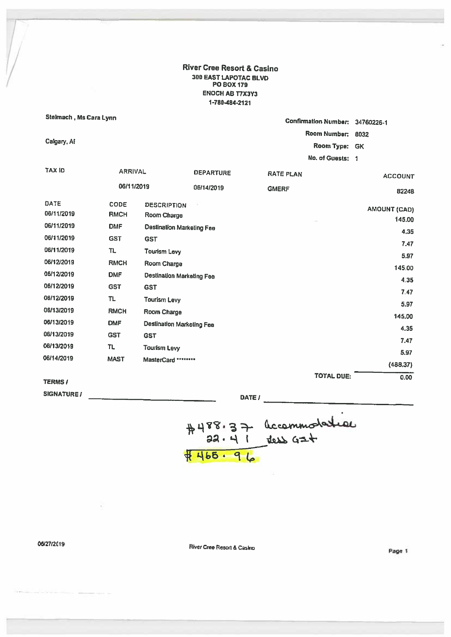River Cree Resort & Casino 30D EAST LAPOTAC BLVD P0 Box 179 ENOCH AB T7X3Y3 1-780484-2121

| Stelmach, Ms Cara Lynn |                |                                  |                  | <b>Confirmation Number:</b> | 34760226-1                    |
|------------------------|----------------|----------------------------------|------------------|-----------------------------|-------------------------------|
|                        |                |                                  |                  | Room Number:                | 8032                          |
| Calgary, Af            |                |                                  |                  | Room Type:                  | <b>GK</b>                     |
|                        |                |                                  |                  | No. of Guests: 1            |                               |
|                        |                |                                  |                  |                             |                               |
| <b>TAX ID</b>          | <b>ARRIVAL</b> |                                  | <b>DEPARTURE</b> | <b>RATE PLAN</b>            | <b>ACCOUNT</b>                |
|                        | 06/11/2019     |                                  | 06/14/2019       | <b>GMERF</b>                | 82248                         |
| DATE                   | CODE           | <b>DESCRIPTION</b>               |                  |                             |                               |
| 06/11/2019             | <b>RMCH</b>    | Room Charge                      |                  |                             | <b>AMOUNT (CAD)</b><br>145.00 |
| 06/11/2019             | <b>DMF</b>     | <b>Destination Marketing Fee</b> |                  |                             | 4.35                          |
| 06/11/2019             | <b>GST</b>     | <b>GST</b>                       |                  |                             |                               |
| 06/11/2019             | TL             | <b>Tourism Levy</b>              |                  |                             | 7.47                          |
| 06/12/2019             | <b>RMCH</b>    | Room Charge                      |                  |                             | 5.97                          |
| 06/12/2019             | <b>DMF</b>     | Destination Marketing Fee        |                  |                             | 145.00                        |
| 06/12/2019             | <b>GST</b>     | <b>GST</b>                       |                  |                             | 4.35                          |
| 06/12/2019             | TL             | <b>Tourism Levy</b>              |                  |                             | 7.47                          |
| 06/13/2019             | <b>RMCH</b>    | Room Charge                      |                  |                             | 5.97                          |
| 06/13/2019             | <b>DMF</b>     |                                  |                  |                             | 145,00                        |
| 06/13/2019             |                | <b>Destination Marketing Fee</b> |                  |                             | 4.35                          |
|                        | <b>GST</b>     | <b>GST</b>                       |                  |                             | 7.47                          |
| 06/13/2019             | π              | <b>Tourism Levy</b>              |                  |                             | 5.97                          |
| 06/14/2019             | <b>MAST</b>    | MasterCard ********              |                  |                             | (488, 37)                     |
|                        |                |                                  |                  | <b>TOTAL DUE:</b>           | 0.00                          |
| <b>TERMS /</b>         |                |                                  |                  |                             |                               |

SIGNATURE /

DATE  $l_{\perp}$ 

 $#488.3 + \frac{1}{100}$ <br>  $32.41$   $+ \frac{1}{100}$   $62+$ 

06/27/2019 **River Cree Resort & Casino River Cree Resort & Casino**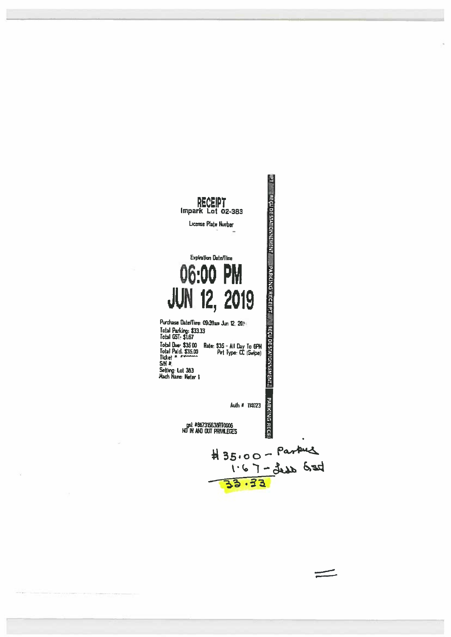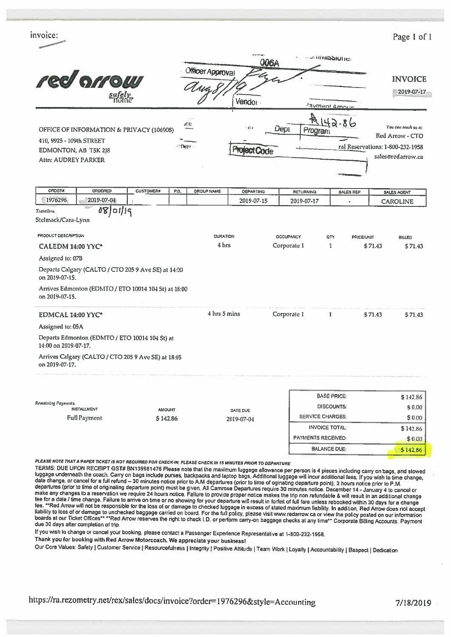| invoice:                                                                                                                                                                                 |       |                   |                     |             |                           |                                         |           |         | Page 1 of 1                      |
|------------------------------------------------------------------------------------------------------------------------------------------------------------------------------------------|-------|-------------------|---------------------|-------------|---------------------------|-----------------------------------------|-----------|---------|----------------------------------|
|                                                                                                                                                                                          |       |                   | 006A                |             |                           | <b>PRIMISSIONE</b>                      |           |         |                                  |
|                                                                                                                                                                                          |       | Officer Approval  |                     |             |                           |                                         |           |         |                                  |
| red orrow                                                                                                                                                                                |       |                   |                     |             |                           |                                         |           |         | <b>INVOICE</b>                   |
| safely<br>Home                                                                                                                                                                           |       |                   | Vendor              |             |                           |                                         |           |         | 2019-07-17                       |
|                                                                                                                                                                                          |       |                   |                     |             |                           | <b>Javment Amount</b>                   |           |         |                                  |
| OFFICE OF INFORMATION & PRIVACY (106908)                                                                                                                                                 | 11 IL |                   | lit fill            | Dept.       | ぜ<br>Program              |                                         |           |         | You can reach us at:             |
| 410, 9925 - 109th STREET                                                                                                                                                                 |       |                   |                     |             |                           |                                         |           |         | Red Arrow - CTO                  |
| EDMONTON, AB T5K 2J8                                                                                                                                                                     | ीलिंग |                   | <b>Project Code</b> |             |                           |                                         |           |         | ral Reservations: 1-800-232-1958 |
| Attn: AUDREY PARKER                                                                                                                                                                      |       |                   |                     |             |                           |                                         |           |         | sales@redarrow.ca                |
|                                                                                                                                                                                          |       |                   |                     |             |                           |                                         |           |         |                                  |
| <b>ORDER#</b><br>ORDERED<br><b>CUSTOMER#</b>                                                                                                                                             | P.O.  | <b>GROUP NAME</b> | <b>DEPARTING</b>    |             | <b>RETURNING</b>          |                                         | SALES REP |         | <b>SALES AGENT</b>               |
| 1976296<br>2019-07-04<br>98/01/19                                                                                                                                                        |       |                   | 2019-07-15          |             | 2019-07-17                |                                         |           |         | <b>CAROLINE</b>                  |
| CALEDM 14:00 YYC*<br>Assigned to: 07B<br>Departs Calgary (CALTO / CTO 205 9 Ave SE) at 14:00<br>on 2019-07-15.<br>Arrives Edmonton (EDMTO / ETO 10014 104 St) at 18:00<br>on 2019-07-15. |       | 4 hrs             |                     | Corporate 1 |                           | 1                                       |           | \$71.43 | \$71.43                          |
| EDMCAL 14:00 YYC*                                                                                                                                                                        |       | 4 hrs 5 mins      |                     | Corporate 1 |                           | $\mathbf{1}$                            |           | \$71.43 | \$71.43                          |
| Assigned to: 05A                                                                                                                                                                         |       |                   |                     |             |                           |                                         |           |         |                                  |
| Departs Edmonton (EDMTO / ETO 10014 104 5t) at<br>14:00 on 2019-07-17.                                                                                                                   |       |                   |                     |             |                           |                                         |           |         |                                  |
| Arrives Calgary (CALTO / CTO 205 9 Ave SE) at 18:05<br>on 2019-07-17.                                                                                                                    |       |                   |                     |             |                           |                                         |           |         |                                  |
|                                                                                                                                                                                          |       |                   |                     |             |                           | <b>BASE PRICE:</b><br><b>DISCOUNTS:</b> |           |         | \$142.86                         |
| Remaining Payments:                                                                                                                                                                      |       |                   |                     |             |                           |                                         |           |         | \$0.00                           |
| <b>INSTALLMENT</b><br><b>AMOUNT</b>                                                                                                                                                      |       |                   | DATE DUE            |             |                           |                                         |           |         |                                  |
| <b>Full Payment</b><br>\$142.86                                                                                                                                                          |       |                   | 2019-07-04          |             | <b>SERVICE CHARGES:</b>   |                                         |           |         | \$0.00                           |
|                                                                                                                                                                                          |       |                   |                     |             | <b>PAYMENTS RECEIVED:</b> | <b>INVOICE TOTAL:</b>                   |           |         | \$142.86<br>\$0.00               |

luggage underneath the coach. Carry on bags include purses, backpacks and laptop bags. Additional luggage will incur additional fees. If you wish to time change, date change, date change or cancel for a full refund – 30 mi

If you wish to change or cancel your booking, please contact a Passenger Experience Representative at 1-800-232-1958.

Thank you for booking with Red Arrow Motorcoach. We appreciate your businessl

Our Core Values: Safety | Customer Service | Resourcefulness | Integrity | Positive Attitude | Team Work | Loyalty | Accountability | Respect | Dedication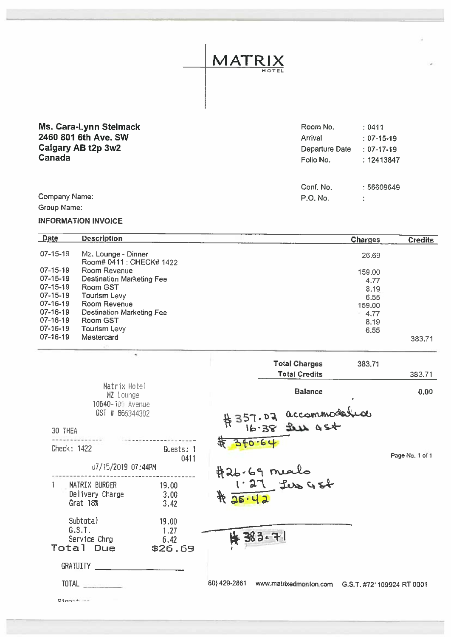| Ms. Cara-Lynn Stelmack<br>2460 801 6th Ave. SW<br>Calgary AB t2p 3w2<br>Canada | Room No.<br>Arrival<br>Departure Date<br>Folio No. | : 0411<br>$: 07-15-19$<br>$: 07-17-19$<br>: 12413847 |
|--------------------------------------------------------------------------------|----------------------------------------------------|------------------------------------------------------|
| Company Name:<br>Group Name:                                                   | Conf. No.<br>P.O. No.                              | : 56609649                                           |

MATRIX

HOTEL

## INFORMATION INVOICE

| <b>Date</b>    | <b>Description</b>               | <b>Charges</b> | <b>Credits</b> |
|----------------|----------------------------------|----------------|----------------|
| $07 - 15 - 19$ | Mz. Lounge - Dinner              | 26.69          |                |
|                | Room# 0411 : CHECK# 1422         |                |                |
| $07 - 15 - 19$ | Room Revenue                     | 159,00         |                |
| $07 - 15 - 19$ | <b>Destination Marketing Fee</b> | 4.77           |                |
| 07-15-19       | Room GST                         | 8.19           |                |
| $07 - 15 - 19$ | Tourism Levy                     | 6.55           |                |
| $07 - 16 - 19$ | Room Revenue                     | 159.00         |                |
| $07 - 16 - 19$ | <b>Destination Marketing Fee</b> | 4.77           |                |
| $07 - 16 - 19$ | Room GST                         | 8.19           |                |
| $07 - 16 - 19$ | <b>Tourism Levy</b>              | 6.55           |                |
| $07 - 16 - 19$ | Mastercard                       |                | 383.71         |
|                |                                  |                |                |

|                                                 |                                  | <b>Total Charges</b><br>383.71<br><b>Total Credits</b>           |
|-------------------------------------------------|----------------------------------|------------------------------------------------------------------|
| Matrix Hotel<br>MZ Lounge<br>10640-109 Avenue   |                                  | <b>Balance</b>                                                   |
| GST # 866344302                                 |                                  |                                                                  |
| 30 THEA                                         |                                  | 357.02 accommodation                                             |
| Check: 1422                                     | Guests: 1<br>0411                | 256.64                                                           |
| U7/15/2019 07:44PM                              |                                  |                                                                  |
| MATRIX BURGER<br>Delivery Charge<br>Grat 18%    | 19.00<br>3.00<br>3.42            | #26.69 meals<br>1.27 Les GSt<br>425.42                           |
| Subtotal<br>G.S.T.<br>Service Chrg<br>Total Due | 19.00<br>1.27<br>6.42<br>\$26.69 | <b>N 383.71</b>                                                  |
| <b>GRATUITY</b>                                 |                                  |                                                                  |
| TOTAL <b>Andrew Street Street Street Street</b> |                                  | 80) 429-2861<br>www.matrixedmonton.com G.S.T. #721109924 RT 0001 |
| $C1$ mation                                     |                                  |                                                                  |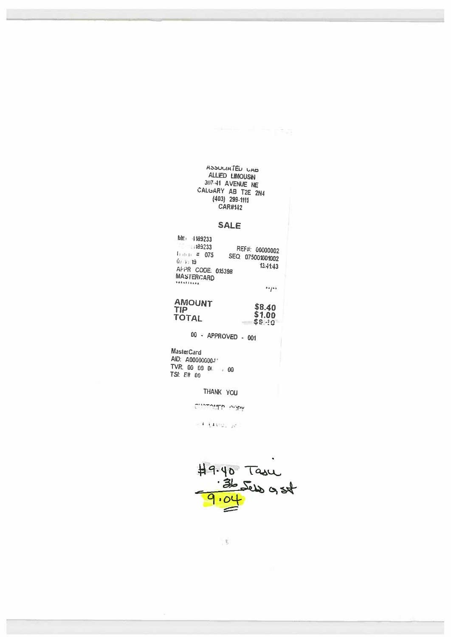# ASSULIATED UAB ALLIED LIMOUSIN 317-41 AVENUE NE<br>CALGARY AB T2E 2N4<br>(403) 299-1111 **CAR#142**

### **SALE**

| №№ 4189233<br>189233<br>$1 + 1 + 1 + 2 - 075$<br>0.113<br>AFPR CODE: 015398<br><b>MASTERCARD</b><br>********* | REF#: 00000002<br>SEQ 075001001002<br>13.41.43 |
|---------------------------------------------------------------------------------------------------------------|------------------------------------------------|
|                                                                                                               | **/**                                          |

# **AMOUNT<br>TIP<br>TOTAL**  $$8.40$ <br> $$1.00$ <br> $$6.40$ <br> $$6.40$

 $00 - APPROVED - 001$ 

MasterCard AID: A000000003 TVR: 00 00 00 00 TSI: E8 00

THANK YOU

CHOTOMEP IMPly

 $<$  Guer $\mu$ 



 $\mathcal{F}$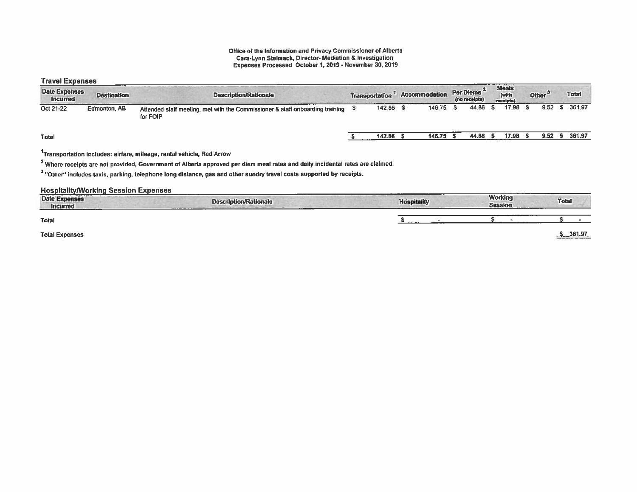#### Office of the Information and Privacy Commissioner of Alberta Care-Lynn Stelmack, Director- Mediation & Investigation Expenses Processed October 1, 2019 - November 30, 2019

### Travel Expenses

| <b>Date Expenses</b><br><b>Incurred</b> | <b>Destination</b> | <b>Description/Rationale</b>                                                              | <b>Transportation</b> | Accommodation | Per Diems <sup>-</sup><br>(no receipts) | <b>Meals</b><br>(with<br>receipts) | Other $3^{\circ}$ | <b>Total</b> |
|-----------------------------------------|--------------------|-------------------------------------------------------------------------------------------|-----------------------|---------------|-----------------------------------------|------------------------------------|-------------------|--------------|
| Oct 21-22                               | Edmonton, AB       | Attended staff meeting, met with the Commissioner & staff onboarding training<br>for FOIP | 142.86                | 146.75        | 44.86                                   | 17.98                              | 9.52              | \$ 361.97    |
| Total                                   |                    |                                                                                           | 142.86                | 146.75        | 44.86                                   | 17.98                              | 9.52              | 361.97       |

## $1$ Transportation includes: airfare, mileage, rental vehicle, Red Arrow

<sup>2</sup> Where receipts are not provided, Government of Alberta approved per diem meal rates and daily incidental rates are claimed.

<sup>3</sup> "Other" includes taxis, parking, telephone long distance, gas and other sundry travel costs supported by receipts.

#### **Hospitality/Working Session Expenses**

| <b>Date Expenses</b><br><b>Incurred</b> | <b>CARLINE</b><br><b>Description/Rationale</b><br>------------- | <b>Hospitality</b><br><b>Contract Contract Contract Contract</b> | <b>Working</b><br><b>Session</b> | <b>Total</b> |
|-----------------------------------------|-----------------------------------------------------------------|------------------------------------------------------------------|----------------------------------|--------------|
| Total                                   |                                                                 |                                                                  |                                  |              |
| <b>Total Expenses</b>                   |                                                                 |                                                                  |                                  | $-361.97$    |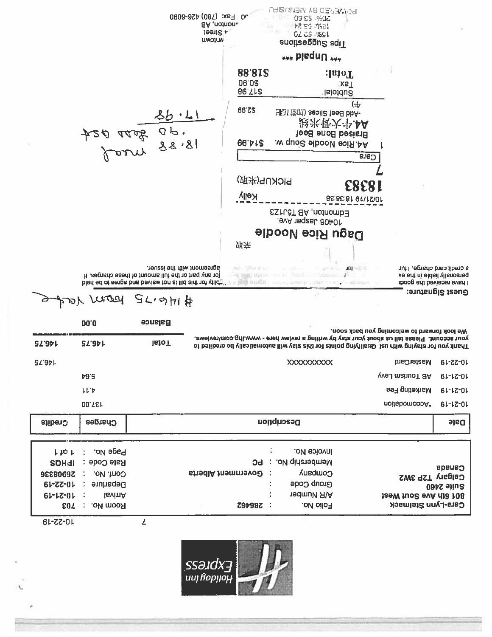

XXXXXXXXX MasterCard 61-22-01 **ST.841**  $\natural$ 9'9 yvel mahuoT 8A  $61 - 12 - 01$  $LL^{\dagger}$ Marketing Fee  $61 - 12 - 01$ 137.00 noitsbomoooA\*  $61 - 12 - 01$ Charges Description Date Credits  $\ddot{\ddot{\phantom{}}\!\!\!}$ Page No. : Invoice No.  $L$  jo  $L$ Membership No. : PC **SOHdl** Rate Code: Canada 26908336 Conf. No. : : Government Alberta Company Calgary T2P 3W2 Group Code 61-ZZ-01 Departure : ÷ Suite 2460  $61 - 12 - 01$ IsvinA  $\ddot{\cdot}$ **nedmulk RIA** JaeW Juo2 svA dJa 108 Cara-Lynn Stelmack Room No. : 703 Folio No. Z9798Z : 10-22-19  $\mathbf{L}$ 

|               |               |                                                                                                                                                                                                      | $j$ een $Z +$<br><b>UMOIUN</b> |                              | ドレ こじ・マコト<br><b>OZ 2\$ %91</b><br>znoitzeggu2 zqiT  |                                           |                                                                                                                                                                                                     |
|---------------|---------------|------------------------------------------------------------------------------------------------------------------------------------------------------------------------------------------------------|--------------------------------|------------------------------|-----------------------------------------------------|-------------------------------------------|-----------------------------------------------------------------------------------------------------------------------------------------------------------------------------------------------------|
|               |               |                                                                                                                                                                                                      |                                |                              | *** blaqnU ***                                      |                                           |                                                                                                                                                                                                     |
|               |               |                                                                                                                                                                                                      |                                | 88'81\$<br>06'0\$<br>86.Tra  |                                                     | Total:<br>XB<br><b>Subtotal</b>           |                                                                                                                                                                                                     |
|               |               | 86.11<br>18, 28 gers 024                                                                                                                                                                             |                                | <b>66.ZS</b><br>86.41.8      | 班当管(III) zeoil2 teeB bbA-<br>A4.Rice Noodle Soup w. | (中<br>設米骨大半.4A<br>Braised Bone Beef       |                                                                                                                                                                                                     |
|               |               |                                                                                                                                                                                                      |                                | (炉来) 9UXOI 9<br><b>Kelly</b> | ESTLGT 8A ,notnomb3<br>JavA 19qast, 80401           | Cara<br><b>ESESI</b><br>85:85:81 91\1S\01 |                                                                                                                                                                                                     |
|               |               |                                                                                                                                                                                                      |                                | 炉来                           | Dagu Rice Noodle                                    |                                           |                                                                                                                                                                                                     |
|               |               | agreement with the issuer.<br>The any part or the full amount of these charges. If<br>bied ed of eeros ons beview for at liid and refuge that are a series there is the contract the contract of the |                                |                              | PETER OWN. THE CONDUCTIONS IN .                     |                                           | a credit card charge, I fur<br>ve edt ni eldsil yllsnoareg<br>I have received the good:                                                                                                             |
|               |               | #IHG.75 PEON YOR                                                                                                                                                                                     |                                |                              |                                                     |                                           | Guest Signature:                                                                                                                                                                                    |
|               | 00.0          | <b>Balance</b>                                                                                                                                                                                       |                                |                              |                                                     |                                           | We look forward to welcoming you back soon.                                                                                                                                                         |
| <b>SZ'97L</b> | <b>SZ'971</b> | <b>IsioT</b>                                                                                                                                                                                         |                                |                              |                                                     |                                           | your account. Please tell us about your stay by writing a review here - www.ihg.com/reviews.<br>Thank you for staying that the lifty had a building for this stay will automatically be credited to |

0609-97t (081) xel 0c

aA ,notnon.

**PONERED BY MEMBIRICA** 

09 65 4302

1862.62.18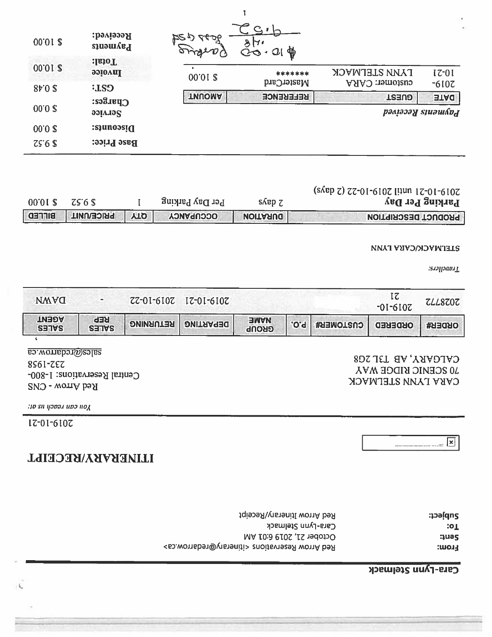# Cara-Lynn Stelmack

| popject:      | Red Arrow Itinerary/Receipt                                            |
|---------------|------------------------------------------------------------------------|
| $\mathbf{10}$ | Cara-Lynn Stelmack                                                     |
| auas.         | October 21, 2019 6:01 AM                                               |
| From:         | Red Arrow Reservations <itinerary@redarrow.ca></itinerary@redarrow.ca> |

-- www.communication.com

# ITINERARY/RECEIPT

-

# 2019-10-21

N

 $\mu$ ו כמו גמסכןו וו $\alpha$ 

CNTCONS - CYTCONS - Arrow Centra' Centra' Centra' Centra' Centra' Centra' Centra' Centra' Centra' Centra' WAY RIDGE SCENIC 70 232-1958 20<br>2008- RESERVIC RIDGE SCENIC XAV RIDGE SCENIC 70 232-1968 208 208 208 208 208 208 208

| <b>AGENT</b><br><b>REP</b><br><b>ENAME</b><br><b>RETURNING</b><br><b>DEPARTING</b><br>.o.q<br><b>CUSTOMER#</b><br><b>ORDERED</b> | <b>NWAQ</b>  | $\overline{\phantom{a}}$ | ZZ-01-610Z | $IZ-0I-6I0Z$ |              |  | $-01-610Z$ | ZLL8Z0Z       |
|----------------------------------------------------------------------------------------------------------------------------------|--------------|--------------------------|------------|--------------|--------------|--|------------|---------------|
|                                                                                                                                  | <b>SETTS</b> | <b>SETVS</b>             |            |              | <b>GROUP</b> |  |            | <b>ORDER#</b> |

 $\mu$ ravellers:

 $\sqrt{2}$ 

### **LIETWACK/CARA LYNN**

| 00'01 \$      | $ZS$ 6 $S$        |            | Per Day Parking  | $S\triangle B\overline{D}Z$ | $(SAep Z)$ $ZZ-01-610Z$ [[141] $Z-01-610Z$<br>Parking Per Day |
|---------------|-------------------|------------|------------------|-----------------------------|---------------------------------------------------------------|
| <b>BITTED</b> | <b>PRICE/UNIT</b> | <b>ALD</b> | <b>OCCUPANCY</b> | <b>URATION</b>              | <b>PRODUCT DESCRIPTION</b>                                    |

| 00.01 \$ | :БэуіэээЯ<br>$n_{\text{sum}}$ | やっか<br>2027   | $C_1 \cdot  $<br>8H<br>₩<br>Q <sub>1</sub><br>co |                                 | $\overline{\phantom{a}}$<br>٠ |
|----------|-------------------------------|---------------|--------------------------------------------------|---------------------------------|-------------------------------|
| 00.01 %  | :IsioT<br><b>boioval</b>      | 00'01 \$      | *******                                          | <b><i>TAJMA SLETWYCK</i></b>    | $17-01$                       |
| $80$ \$  | <b>ELS</b>                    |               | MasterCard                                       | customer: CARA                  | $-610$                        |
|          | $C$ <sub>parges</sub> :       | <b>TNUOMA</b> | <b>REFERENCE</b>                                 | <b>TREUE</b>                    | <b>ETAC</b>                   |
| 00.02    | opivies                       |               |                                                  | рәліәэәұ ѕіиәшбо <sub>с</sub> і |                               |
| 00.02    | Discounts:                    |               |                                                  |                                 |                               |
| ZS'6S    | <b>Base Price:</b>            |               |                                                  |                                 |                               |
|          |                               |               |                                                  |                                 |                               |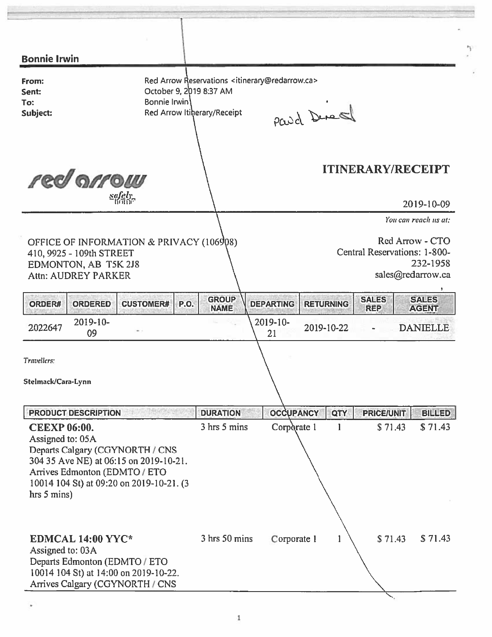| <b>Bonnie Irwin</b>                                                                                                                                                                                              |                                         |                                                                                                        |                  |                  |                              |                                                  |
|------------------------------------------------------------------------------------------------------------------------------------------------------------------------------------------------------------------|-----------------------------------------|--------------------------------------------------------------------------------------------------------|------------------|------------------|------------------------------|--------------------------------------------------|
| From:<br>Sent:<br>To:<br>Subject:                                                                                                                                                                                | October 9, 2019 8:37 AM<br>Bonnie Irwin | Red Arrow Reservations <itinerary@redarrow.ca><br/>Red Arrow Itiherary/Receipt</itinerary@redarrow.ca> | Paud Derest      |                  |                              |                                                  |
| red arrow<br>$\frac{sqrt{e}ly}{\ln \pi\pi}$                                                                                                                                                                      |                                         |                                                                                                        |                  |                  | <b>ITINERARY/RECEIPT</b>     | 2019-10-09                                       |
|                                                                                                                                                                                                                  |                                         |                                                                                                        |                  |                  |                              | You can reach us at:                             |
| OFFICE OF INFORMATION & PRIVACY (106908)<br>410, 9925 - 109th STREET<br>EDMONTON, AB T5K 2J8<br><b>Attn: AUDREY PARKER</b>                                                                                       |                                         |                                                                                                        |                  |                  | Central Reservations: 1-800- | Red Arrow - CTO<br>232-1958<br>sales@redarrow.ca |
| ORDER#<br><b>ORDERED</b>                                                                                                                                                                                         | <b>P.O.</b><br><b>CUSTOMER#</b>         | <b>GROUP</b><br><b>NAME</b>                                                                            | <b>DEPARTING</b> | <b>RETURNING</b> | <b>SALES</b><br><b>REP</b>   | <b>SALES</b><br><b>AGENT</b>                     |
| 2019-10-<br>2022647<br>09                                                                                                                                                                                        |                                         |                                                                                                        | 2019-10-<br>21   | 2019-10-22       |                              | <b>DANIELLE</b>                                  |
| Travellers:<br>Stelmack/Cara-Lynn                                                                                                                                                                                |                                         |                                                                                                        |                  |                  |                              |                                                  |
| <b>PRODUCT DESCRIPTION</b>                                                                                                                                                                                       |                                         | <b>DURATION</b>                                                                                        | <b>OCCUPANCY</b> | QTY              | <b>PRICE/UNIT</b>            | <b>BILLED</b>                                    |
| <b>CEEXP 06:00.</b><br>Assigned to: 05A<br>Departs Calgary (CGYNORTH / CNS<br>304 35 Ave NE) at 06:15 on 2019-10-21.<br>Arrives Edmonton (EDMTO / ETO<br>10014 104 St) at 09:20 on 2019-10-21. (3<br>hrs 5 mins) |                                         | 3 hrs 5 mins                                                                                           | Corporate 1      | -1               | \$71.43                      | \$71.43                                          |
| EDMCAL 14:00 YYC*<br>Assigned to: 03A<br>Departs Edmonton (EDMTO / ETO<br>10014 104 St) at 14:00 on 2019-10-22.<br>Arrives Calgary (CGYNORTH / CNS                                                               |                                         | 3 hrs 50 mins                                                                                          | Corporate 1      |                  | \$71.43                      | \$71.43                                          |

ŋ.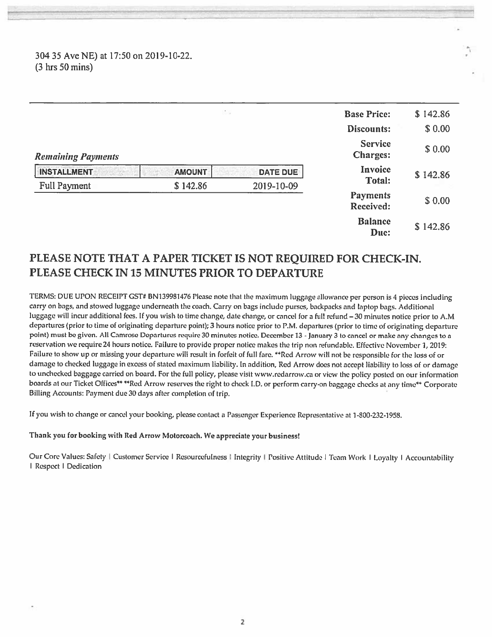30435 AveNE) at 17:50 on 2019-10-22 (3 hrs 50 mins)

|                           | 読み            |                 | <b>Base Price:</b>                | \$142.86 |
|---------------------------|---------------|-----------------|-----------------------------------|----------|
|                           |               |                 | Discounts:                        | \$0.00   |
| <b>Remaining Payments</b> |               |                 | <b>Service</b><br><b>Charges:</b> | \$0.00   |
| <b>INSTALLMENT</b>        | <b>AMOUNT</b> | <b>DATE DUE</b> | Invoice                           | \$142.86 |
| Full Payment              | \$142.86      | 2019-10-09      | <b>Total:</b>                     |          |
|                           |               |                 | <b>Payments</b><br>Received:      | \$0.00   |
|                           |               |                 | <b>Balance</b><br>Duc:            | \$142.86 |

In this case, a problem was also the analyze of the control of the control of the control of the control of the control of the control of

# PLEASE NOTE THAT A PAPER TICKET IS NOT REQUIRED FOR CHECK-IN. PLEASE CHECK IN 15 MINUTES PRIOR TO DEPARTURE

TERMS: DUE UPON RECEIPT GST# BN139981476 Please note that the maximum luggage allowance per person is 4 pieces including carry on bags, and stowed luggage underneath the coach. Carry on bags include purses, backpacks and laptop bags. Additional luggage will incur additional fees. If you wish to time change, date change, or cancel for <sup>a</sup> full refund —30 minutes notice prior to AM departures (prior to time of originating departure point); 3 hours notice prior to P.M. departures (prior to time of originating departure point) must be <sup>g</sup>iven. All Camrose Departures require <sup>30</sup> minutes notice. December13- January <sup>3</sup> to cancel or make any changes to <sup>a</sup> reservation we require <sup>24</sup> hours notice. Failure to provide proper notice makes the trip non refundable. Effective November 1, 2019: Failure to show up or missing your departure will result in forfeit of full fare. \*\*Red Arrow will not be responsible for the loss of or damage to checked luggage in excess of stated maximum liability. In addition, Red Arrow does not accep<sup>t</sup> liability to loss of or damage to unchecked baggage carried on board. For the full policy, please visit www.redarrow.ca or view the policy posted on our information boards at our Ticket Offices\*\* \*\*Red Arrow reserves the right to check I.D. or perform carry-on baggage checks at any time\*\* Corporate Billing Accounts: Payment due <sup>30</sup> days alter completion of trip.

If you wish to change or cancel your booking, <sup>p</sup>lease contact <sup>a</sup> Passenger Experience Representative at 1-800-232-1958.

### Thank you for booking with Red Arrow Motorcoach. We appreciate your business!

Our Core Values: Safety | Customer Service | Resourcefulness | Integrity | Positive Attitude | Team Work | Loyalty | Accountability I Respect I Dedication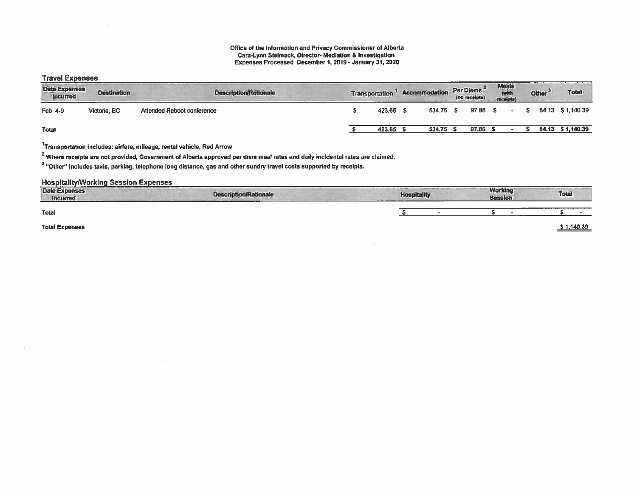#### Office of the Information and Privacy Commissioner of Alberta Can-Lynn Stelmack, Director- Mediation & Investigation Expenses Processed December I, 2019- January 31, 2020

### **Travel Expenses**

| <br>Date Expenses<br><b>Incurred</b> | <b>Destination</b> | <b>Description/Rationale</b> |  | <b>Transportation</b> | Accommodation | Per Diems <sup>2</sup><br>(no receipts) | Meats<br>(with<br>receipts! | Other <sup>3</sup> | Total             |
|--------------------------------------|--------------------|------------------------------|--|-----------------------|---------------|-----------------------------------------|-----------------------------|--------------------|-------------------|
| Feb 4-9                              | Victoria, BC       | Attended Reboot conference   |  | 423.65                | 534.75 \$     | 97.86 S                                 |                             |                    | 84.13 \$1,140.39  |
| <b>Total</b>                         |                    |                              |  | 423.65                | 534.75        | 97.86 \$                                |                             |                    | 84.13 \$ 1,140.39 |

 $1$ Transportation includes: airfare, mileage, rental vehicle, Red Arrow

<sup>2</sup> Where receipts are not provided, Government of Alberta approved per diem meal rates and daily incidental rates are claimed.

<sup>3</sup> "Other" includes taxis, parking, telephone long distance, gas and other sundry travel costs supported by receipts.

#### HospitalitylWorking Session Expenses

| <b>Date Expenses</b><br><b>Incurred</b> | <b>Description/Rationale</b> | <b>Hospitality</b> | <b>Working</b><br>Session. | <b>Total</b> |
|-----------------------------------------|------------------------------|--------------------|----------------------------|--------------|
| <b>Total</b>                            |                              |                    |                            |              |
| <b>Total Expenses</b>                   |                              |                    |                            | \$1,140.39   |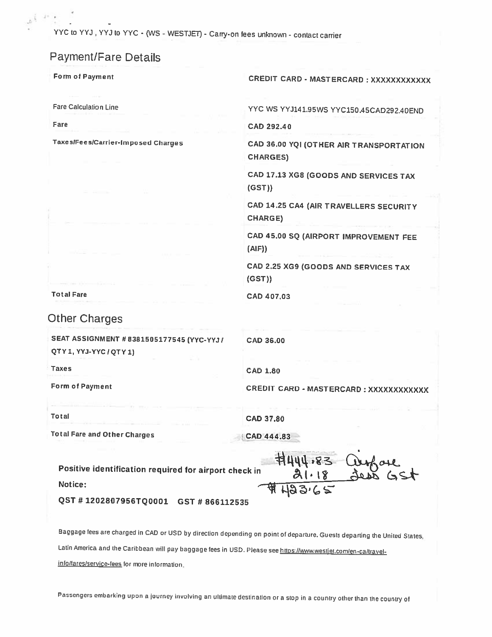YYC to YYJ, YYJ to YYC - (WS - WESTJET) - Carry-on fees unknown - contact carrier

# Payment/Fare Details

Form of Payment CREDIT CARD - MASTERCARD XXXXXXXXXXXX

Fare Calculation Line Table 1999 Manual Contractor Manual Art VYC WS YYJ141.95WS YYC150.45CAD292.40END

Fare CAD 292.40

Taxes/Fees/Carrier-Imposed Charges CAD 36.00 YQI (OTHER AIR TRANSPORTATION CHARGES)

> CAD 17.13 XG8 (GOODS AND SERVICES TAX (OST))

> CAD 14.25 CA4 (AIR TRAVELLERS SECURITY CHARGE)

> CAD 45.00 SQ (AIRPORT IMPROVEMENT FEE  $(A|F)$

CAD 2.25 XG9 (GOODS AND SERVICES TAX (GST))

Total Fare CAD 407.03

# Other Charges

SEAT ASSIGNMENT #8381505177545 (YYC-YYJ / CAD 36.00

QTY 1, YVJ-YVCI QTY 1)

Taxes CAD 1.80

Form of Payment **CREDIT CARD - MASTERCARD : XXXXXXXXXXXX**X

Total CAD 37.80

Total Fare and Other Charges CAD 444.83

wysom

Positive identification required for airport check in Notice:

QST # 1202807956TQ0001 GST # 866112535

Baggage tees are charged in CAO or USC by direction depending on point of departure. Guests departing the United States, Latin America and the Caribbean will pay baggage fees in USD. Please see https://www.westjet.com/en-ca/travelinfo/fares/service-fees for more information.

Passengers embarking upon <sup>a</sup> journey involving an ultimate destination or <sup>a</sup> stop in <sup>a</sup> country other than the country of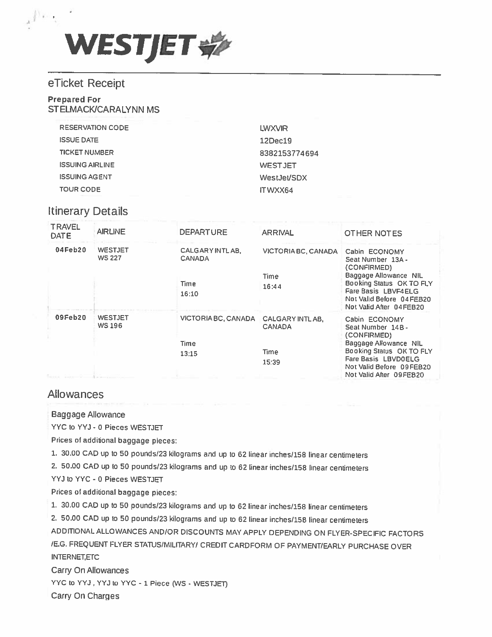

# eTicket Receipt

## Prepared For STELMACK/CARALYNN MS

| <b>RESERVATION CODE</b> | LWXVIR         |
|-------------------------|----------------|
| <b>ISSUE DATE</b>       | 12Dec19        |
| <b>TICKET NUMBER</b>    | 8382153774694  |
| <b>ISSUING AIRLINE</b>  | <b>WESTJET</b> |
| <b>ISSUING AGENT</b>    | WestJet/SDX    |
| <b>TOUR CODE</b>        | ITWXX64        |

# Itinerary Details

| <b>TRAVEL</b><br><b>DATE</b> | <b>AIRLINE</b>                  | <b>DEPARTURE</b>                                            | <b>ARRIVAL</b>                              | OTHER NOTES                                                                                                                                                                          |
|------------------------------|---------------------------------|-------------------------------------------------------------|---------------------------------------------|--------------------------------------------------------------------------------------------------------------------------------------------------------------------------------------|
| 04Feb20                      | <b>WESTJET</b><br><b>WS 227</b> | CALGARY INTLAB.<br><b>CANADA</b><br>Time<br>16:10           | VICTORIA BC, CANADA<br><b>Time</b><br>16:44 | Cabin ECONOMY<br>Seat Number 13A -<br>(CONFIRMED)<br>Baggage Allowance NIL<br>Booking Status OK TO FLY<br>Fare Basis LBVF4ELG<br>Not Valid Before 04FEB20<br>Not Valid After 04FEB20 |
| 09Feb20                      | <b>WESTJET</b><br><b>WS 196</b> | VICTORIA BC, CANADA CALGARY INTLAB,<br><b>Time</b><br>13:15 | <b>CANADA</b><br><b>Time</b><br>15:39       | Cabin ECONOMY<br>Seat Number 14B -<br>(CONFIRMED)<br>Baggage Allowance NIL<br>Booking Status OK TO FLY<br>Fare Basis LBVD0ELG<br>Not Valid Before 09FEB20<br>Not Valid After 09FEB20 |

# Allowances

### Baggage Allowance

VYC to YYJ - 0 Pieces WESTJEr

Prices of additional baggage <sup>p</sup>ieces:

1. 30.00 CAD up to 50 pounds/23 kilograms and up to 62 linear inches/158 linear centimeters

2. 50.00 CAD up to 50 pounds/23 kilograms and up to 62 linear inches/158 linear centimeters

YYJ to YYC - 0 Pieces WESTJET

Prices of additional baggage <sup>p</sup>ieces:

1. 30.00 CAD up to 50 pounds/23 kilograms and up to 62 linear inches/158 linear centimeters

2. 50.00 CAD up to 50 pounds/23 kilograms and up to 62 linear inches/158 linear centimeters

ADDITIONAL ALLOWANCES AND/OR DISCOUNTS MAY APPLY DEPENDING ON FLYER-SPECIFIC FACTORS /E.G. FREQUENT FLYER STATUS/MILITARY/ CREDIT CARDFORM OF PAYMENT/EARLY PURCHASE OVER INTERNET, ETC

Carry On Allowances

YYC to YYJ, YYJ to YYC - 1 Piece (WS - WESTJET)

Carry On Charges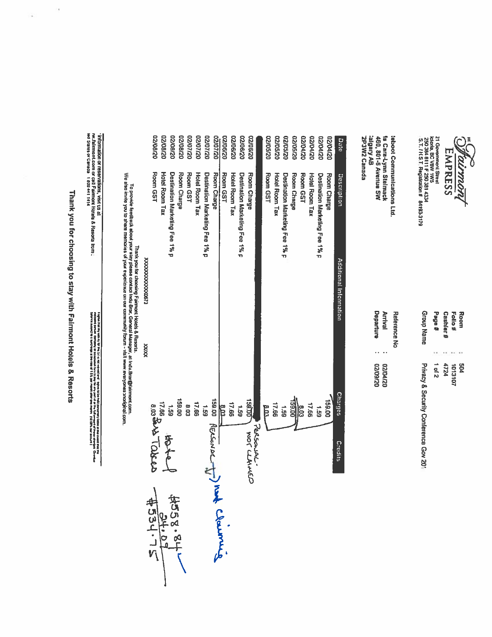

21 Governmenl Street<br>ictoria, BC V8W 1W5<br>250 384 8111 F 250 381 4334<br>- S.T. / H.S.T. Registration # 84193-3179

talgary AB<br>2P3W2 Canada **Is Cara-Lynn Steimack<br>460, 801-6 Avenue SW** teboot Communications Ltd.

| <b>TOUP Nam</b>                       | <b>Page #</b> | 'ashier'<br>zź. | 공후      | Room |
|---------------------------------------|---------------|-----------------|---------|------|
|                                       | 1.1           | $18.14 - 14$    |         |      |
| Privacy & Security Conference Gov 201 | 0<br>2        | 4724            | 1013102 | ខ្ល  |

Departure Arrival Reference No ı.  $\ddot{\phantom{1}}$ 02/60/20<br>02/01/20

|                                      |                | We also invite you to share memories of your experience on our community forum - visit www.everyones.anoxiginal.com.<br>To provide leedback aboul your sizy please contact Indu Brar, General Manager, at Indu.Brar@datmont.com<br>Thank you for choosing Fairmont Holels & Resorts. |                       |          |
|--------------------------------------|----------------|--------------------------------------------------------------------------------------------------------------------------------------------------------------------------------------------------------------------------------------------------------------------------------------|-----------------------|----------|
|                                      | XXXXX          | ELI9DYXXXXXXXXXXX                                                                                                                                                                                                                                                                    |                       |          |
| <b>ADAO RASED</b><br>$4558.81 + 24$  |                |                                                                                                                                                                                                                                                                                      | Room GST              | 02/80/20 |
|                                      |                |                                                                                                                                                                                                                                                                                      | <b>Holel Room Tax</b> | 02/80/20 |
| 子古人                                  | i<br>65        | Destination Marketing Fee 1% p                                                                                                                                                                                                                                                       |                       | 02/08/20 |
|                                      | 159.00         |                                                                                                                                                                                                                                                                                      | Room Charge           | 02/80/20 |
|                                      | <b>SOB</b>     |                                                                                                                                                                                                                                                                                      | Room GST              | 02/20/20 |
|                                      | 17.66          |                                                                                                                                                                                                                                                                                      | <b>Hotel Room Tax</b> | 02/20/20 |
| <b>BOOK RECEIVED TO PLAY CROWNLY</b> |                | Destination Marketing Fee 1% p                                                                                                                                                                                                                                                       |                       | 02/20/20 |
|                                      |                |                                                                                                                                                                                                                                                                                      | Room Charge           | 02/20/20 |
|                                      |                |                                                                                                                                                                                                                                                                                      | Room GST              | 02/06/20 |
|                                      | 17.66          |                                                                                                                                                                                                                                                                                      | <b>Holel Room Tax</b> | 02/99/20 |
| 651                                  |                | Destination Marketing Fee 1% p                                                                                                                                                                                                                                                       |                       | 02/99/20 |
| Oshinkin Jow                         | <b>TSSTO</b>   |                                                                                                                                                                                                                                                                                      | Room Charge           | 02/06/20 |
| PERSONAL.                            |                |                                                                                                                                                                                                                                                                                      |                       |          |
| Ë                                    |                |                                                                                                                                                                                                                                                                                      | Room GST              | 02/90/20 |
|                                      | 17.66          |                                                                                                                                                                                                                                                                                      | Hotel Room Tax        | 02/90/20 |
| 65 <sup>1</sup>                      |                | Destination Marketing Fee 1% p                                                                                                                                                                                                                                                       |                       | 02/05/20 |
|                                      | <b>DO'65L</b>  |                                                                                                                                                                                                                                                                                      | Room Charge           | 02/05/20 |
| 8.03                                 |                |                                                                                                                                                                                                                                                                                      | Room GST              | 02/04/20 |
| 17.66                                |                |                                                                                                                                                                                                                                                                                      | Hotel Room Tax        | 02/04/20 |
| 691                                  |                | Deslination Marketing Fee 1% p                                                                                                                                                                                                                                                       |                       | 02/04/20 |
|                                      | 159.00         |                                                                                                                                                                                                                                                                                      | Room Charge           | 02/00/20 |
| Credits                              | <b>Charges</b> | Additional Information                                                                                                                                                                                                                                                               | Description           | Date     |

Thank you for choosing to stay with Fairmont Hotels & Resorts

í,

à,

i agne itali en van ry ty in tyd is een waard aan ingenis by in tyd in tyd in the latin of ite over the first m<br>A start of the start of the start of the start of the start of the start of the start of the over the start of

' information or reservations, visit us at<br>nw.falmment.com or call Falmont Hotels & Resons irom :<br>led States or Carada 1800 441 1414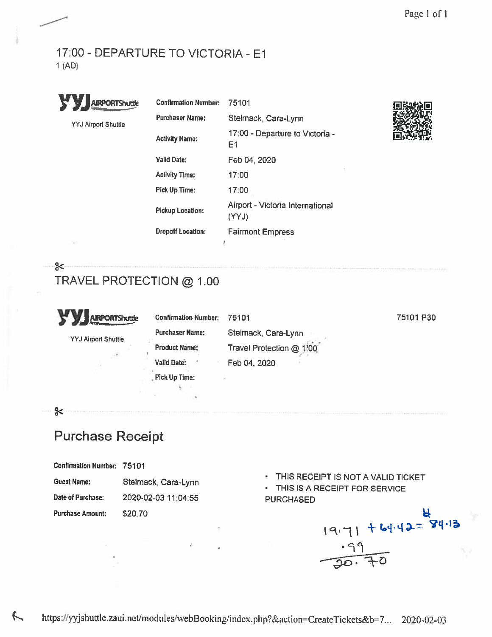# 17:00 -DEPARTURE TO VICTORIA - El 1 (AD)



 $\approx$ 

 $\approx$ 

| <b>y.</b><br><b>AIRPORTShuttle</b> | <b>Confirmation Number:</b> | 75101                                     |  |
|------------------------------------|-----------------------------|-------------------------------------------|--|
| <b>YYJ Airport Shuttle</b>         | <b>Purchaser Name:</b>      | Stelmack, Cara-Lynn                       |  |
|                                    | <b>Activity Name:</b>       | 17:00 - Departure to Victoria -<br>Ε1     |  |
|                                    | <b>Valid Date:</b>          | Feb 04, 2020                              |  |
|                                    | <b>Activity Time:</b>       | 17:00                                     |  |
|                                    | <b>Pick Up Time:</b>        | 17:00                                     |  |
|                                    | <b>Pickup Location:</b>     | Airport - Victoria International<br>(YYJ) |  |
|                                    | <b>Dropoff Location:</b>    | <b>Fairmont Empress</b>                   |  |
|                                    |                             |                                           |  |



# TRAVEL PROTECTION @ 1.00

| уу.<br><b>AIRPORTShuttle</b> | <b>Confirmation Number:</b> | 75101                    | 75101 P30 |
|------------------------------|-----------------------------|--------------------------|-----------|
| <b>YYJ Airport Shuttle</b>   | <b>Purchaser Name:</b>      | Stelmack, Cara-Lynn      |           |
|                              | <b>Product Name:</b>        | Travel Protection @ 1.00 |           |
|                              | Valid Date:                 | Feb 04, 2020             |           |
|                              | <b>Pick Up Time:</b>        |                          |           |
|                              |                             |                          |           |

# Purchase Receipt

| <b>Confirmation Number:</b> | 75101 |  |  |
|-----------------------------|-------|--|--|
|-----------------------------|-------|--|--|

| <b>Guest Name:</b> | Stelmack, Cara-Lynn | .<br>$\cdot$ THIS IS A I |
|--------------------|---------------------|--------------------------|
| Date of Purchase:  | 2020-02-03 11:04:55 | <b>PURCHASED</b>         |

Purchase Amount: \$20.70

- 
- Guest Name: Stelmack, Cara-Lynn **THIS RECEIPT IS NOT A VALID TICKET**<br>FIHIS IS A RECEIPT FOR SERVICE

 $H_{4,71}$  + 64.42= 84.13  $\overline{F}$